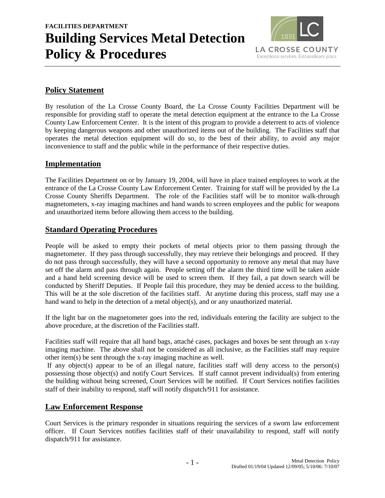# **FACILITIES DEPARTMENT Building Services Metal Detection Policy & Procedures**



# **Policy Statement**

By resolution of the La Crosse County Board, the La Crosse County Facilities Department will be responsible for providing staff to operate the metal detection equipment at the entrance to the La Crosse County Law Enforcement Center. It is the intent of this program to provide a deterrent to acts of violence by keeping dangerous weapons and other unauthorized items out of the building. The Facilities staff that operates the metal detection equipment will do so, to the best of their ability, to avoid any major inconvenience to staff and the public while in the performance of their respective duties.

#### **Implementation**

The Facilities Department on or by January 19, 2004, will have in place trained employees to work at the entrance of the La Crosse County Law Enforcement Center. Training for staff will be provided by the La Crosse County Sheriffs Department. The role of the Facilities staff will be to monitor walk-through magnetometers, x-ray imaging machines and hand wands to screen employees and the public for weapons and unauthorized items before allowing them access to the building.

# **Standard Operating Procedures**

People will be asked to empty their pockets of metal objects prior to them passing through the magnetometer. If they pass through successfully, they may retrieve their belongings and proceed. If they do not pass through successfully, they will have a second opportunity to remove any metal that may have set off the alarm and pass through again. People setting off the alarm the third time will be taken aside and a hand held screening device will be used to screen them. If they fail, a pat down search will be conducted by Sheriff Deputies. If People fail this procedure, they may be denied access to the building. This will be at the sole discretion of the facilities staff. At anytime during this process, staff may use a hand wand to help in the detection of a metal object(s), and or any unauthorized material.

If the light bar on the magnetometer goes into the red, individuals entering the facility are subject to the above procedure, at the discretion of the Facilities staff.

Facilities staff will require that all hand bags, attaché cases, packages and boxes be sent through an x-ray imaging machine. The above shall not be considered as all inclusive, as the Facilities staff may require other item(s) be sent through the x-ray imaging machine as well.

If any object(s) appear to be of an illegal nature, facilities staff will deny access to the person(s) possessing those object(s) and notify Court Services. If staff cannot prevent individual(s) from entering the building without being screened, Court Services will be notified. If Court Services notifies facilities staff of their inability to respond, staff will notify dispatch/911 for assistance.

# **Law Enforcement Response**

Court Services is the primary responder in situations requiring the services of a sworn law enforcement officer. If Court Services notifies facilities staff of their unavailability to respond, staff will notify dispatch/911 for assistance.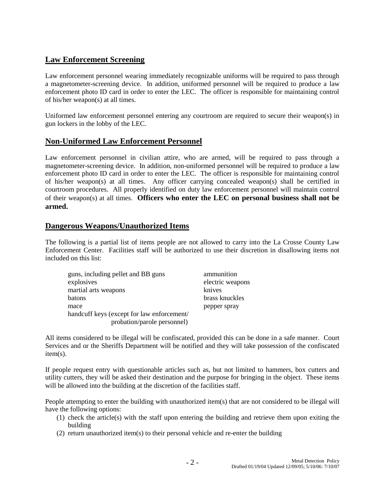# **Law Enforcement Screening**

Law enforcement personnel wearing immediately recognizable uniforms will be required to pass through a magnetometer-screening device. In addition, uniformed personnel will be required to produce a law enforcement photo ID card in order to enter the LEC. The officer is responsible for maintaining control of his/her weapon(s) at all times.

Uniformed law enforcement personnel entering any courtroom are required to secure their weapon(s) in gun lockers in the lobby of the LEC.

## **Non-Uniformed Law Enforcement Personnel**

Law enforcement personnel in civilian attire, who are armed, will be required to pass through a magnetometer-screening device. In addition, non-uniformed personnel will be required to produce a law enforcement photo ID card in order to enter the LEC. The officer is responsible for maintaining control of his/her weapon(s) at all times. Any officer carrying concealed weapon(s) shall be certified in courtroom procedures. All properly identified on duty law enforcement personnel will maintain control of their weapon(s) at all times. **Officers who enter the LEC on personal business shall not be armed.**

## **Dangerous Weapons/Unauthorized Items**

The following is a partial list of items people are not allowed to carry into the La Crosse County Law Enforcement Center. Facilities staff will be authorized to use their discretion in disallowing items not included on this list:

| guns, including pellet and BB guns         | ammunition       |
|--------------------------------------------|------------------|
| explosives                                 | electric weapons |
| martial arts weapons                       | knives           |
| batons                                     | brass knuckles   |
| mace                                       | pepper spray     |
| handcuff keys (except for law enforcement/ |                  |
| probation/parole personnel)                |                  |

All items considered to be illegal will be confiscated, provided this can be done in a safe manner. Court Services and or the Sheriffs Department will be notified and they will take possession of the confiscated item(s).

If people request entry with questionable articles such as, but not limited to hammers, box cutters and utility cutters, they will be asked their destination and the purpose for bringing in the object. These items will be allowed into the building at the discretion of the facilities staff.

People attempting to enter the building with unauthorized item(s) that are not considered to be illegal will have the following options:

- (1) check the article(s) with the staff upon entering the building and retrieve them upon exiting the building
- (2) return unauthorized item(s) to their personal vehicle and re-enter the building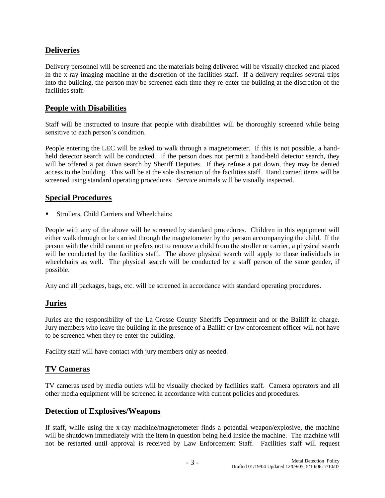# **Deliveries**

Delivery personnel will be screened and the materials being delivered will be visually checked and placed in the x-ray imaging machine at the discretion of the facilities staff. If a delivery requires several trips into the building, the person may be screened each time they re-enter the building at the discretion of the facilities staff.

#### **People with Disabilities**

Staff will be instructed to insure that people with disabilities will be thoroughly screened while being sensitive to each person's condition.

People entering the LEC will be asked to walk through a magnetometer. If this is not possible, a handheld detector search will be conducted. If the person does not permit a hand-held detector search, they will be offered a pat down search by Sheriff Deputies. If they refuse a pat down, they may be denied access to the building. This will be at the sole discretion of the facilities staff. Hand carried items will be screened using standard operating procedures. Service animals will be visually inspected.

#### **Special Procedures**

Strollers, Child Carriers and Wheelchairs:

People with any of the above will be screened by standard procedures. Children in this equipment will either walk through or be carried through the magnetometer by the person accompanying the child. If the person with the child cannot or prefers not to remove a child from the stroller or carrier, a physical search will be conducted by the facilities staff. The above physical search will apply to those individuals in wheelchairs as well. The physical search will be conducted by a staff person of the same gender, if possible.

Any and all packages, bags, etc. will be screened in accordance with standard operating procedures.

# **Juries**

Juries are the responsibility of the La Crosse County Sheriffs Department and or the Bailiff in charge. Jury members who leave the building in the presence of a Bailiff or law enforcement officer will not have to be screened when they re-enter the building.

Facility staff will have contact with jury members only as needed.

#### **TV Cameras**

TV cameras used by media outlets will be visually checked by facilities staff. Camera operators and all other media equipment will be screened in accordance with current policies and procedures.

#### **Detection of Explosives/Weapons**

If staff, while using the x-ray machine/magnetometer finds a potential weapon/explosive, the machine will be shutdown immediately with the item in question being held inside the machine. The machine will not be restarted until approval is received by Law Enforcement Staff. Facilities staff will request